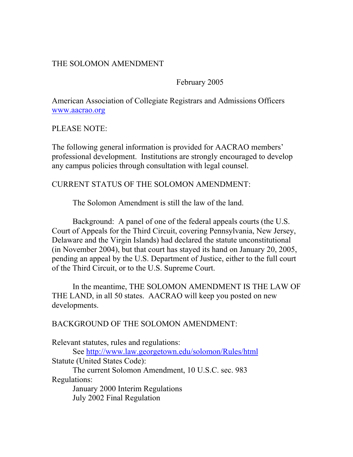## THE SOLOMON AMENDMENT

February 2005

American Association of Collegiate Registrars and Admissions Officers www.aacrao.org

PLEASE NOTE:

The following general information is provided for AACRAO members' professional development. Institutions are strongly encouraged to develop any campus policies through consultation with legal counsel.

### CURRENT STATUS OF THE SOLOMON AMENDMENT:

The Solomon Amendment is still the law of the land.

Background: A panel of one of the federal appeals courts (the U.S. Court of Appeals for the Third Circuit, covering Pennsylvania, New Jersey, Delaware and the Virgin Islands) had declared the statute unconstitutional (in November 2004), but that court has stayed its hand on January 20, 2005, pending an appeal by the U.S. Department of Justice, either to the full court of the Third Circuit, or to the U.S. Supreme Court.

 In the meantime, THE SOLOMON AMENDMENT IS THE LAW OF THE LAND, in all 50 states. AACRAO will keep you posted on new developments.

BACKGROUND OF THE SOLOMON AMENDMENT:

Relevant statutes, rules and regulations:

 See http://www.law.georgetown.edu/solomon/Rules/html Statute (United States Code): The current Solomon Amendment, 10 U.S.C. sec. 983 Regulations:

 January 2000 Interim Regulations July 2002 Final Regulation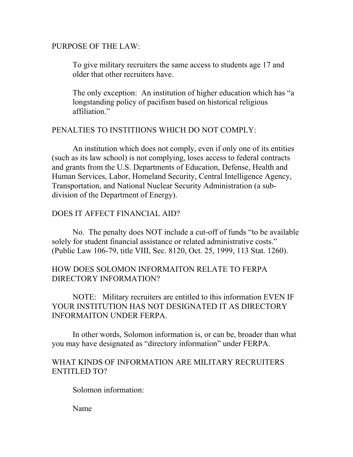### PURPOSE OF THE LAW:

To give military recruiters the same access to students age 17 and older that other recruiters have.

The only exception: An institution of higher education which has "a longstanding policy of pacifism based on historical religious affiliation"

## PENALTIES TO INSTITIIONS WHICH DO NOT COMPLY:

 An institution which does not comply, even if only one of its entities (such as its law school) is not complying, loses access to federal contracts and grants from the U.S. Departments of Education, Defense, Health and Human Services, Labor, Homeland Security, Central Intelligence Agency, Transportation, and National Nuclear Security Administration (a subdivision of the Department of Energy).

# DOES IT AFFECT FINANCIAL AID?

 No. The penalty does NOT include a cut-off of funds "to be available solely for student financial assistance or related administrative costs." (Public Law 106-79, title VIII, Sec. 8120, Oct. 25, 1999, 113 Stat. 1260).

# HOW DOES SOLOMON INFORMAITON RELATE TO FERPA DIRECTORY INFORMATION?

 NOTE: Military recruiters are entitled to this information EVEN IF YOUR INSTITUTION HAS NOT DESIGNATED IT AS DIRECTORY INFORMAITON UNDER FERPA.

 In other words, Solomon information is, or can be, broader than what you may have designated as "directory information" under FERPA.

## WHAT KINDS OF INFORMATION ARE MILITARY RECRUITERS ENTITLED TO?

Solomon information:

Name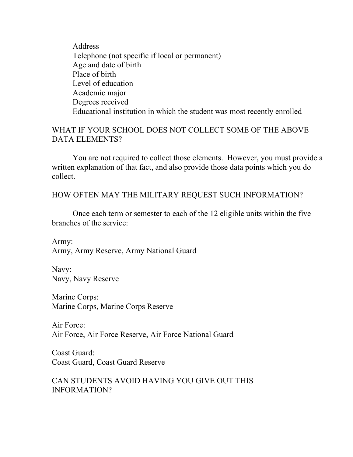Address Telephone (not specific if local or permanent) Age and date of birth Place of birth Level of education Academic major Degrees received Educational institution in which the student was most recently enrolled

## WHAT IF YOUR SCHOOL DOES NOT COLLECT SOME OF THE ABOVE DATA ELEMENTS?

 You are not required to collect those elements. However, you must provide a written explanation of that fact, and also provide those data points which you do collect.

HOW OFTEN MAY THE MILITARY REQUEST SUCH INFORMATION?

 Once each term or semester to each of the 12 eligible units within the five branches of the service:

Army: Army, Army Reserve, Army National Guard

Navy: Navy, Navy Reserve

Marine Corps: Marine Corps, Marine Corps Reserve

Air Force: Air Force, Air Force Reserve, Air Force National Guard

Coast Guard: Coast Guard, Coast Guard Reserve

CAN STUDENTS AVOID HAVING YOU GIVE OUT THIS INFORMATION?